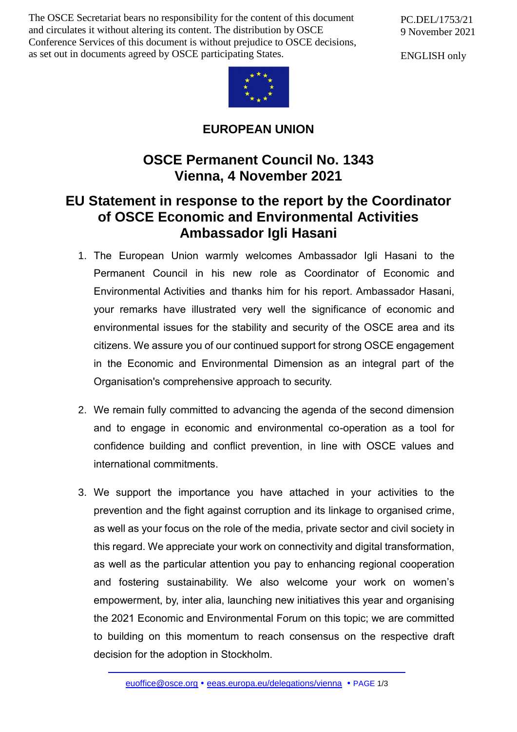The OSCE Secretariat bears no responsibility for the content of this document and circulates it without altering its content. The distribution by OSCE Conference Services of this document is without prejudice to OSCE decisions, as set out in documents agreed by OSCE participating States.

PC.DEL/1753/21 9 November 2021

ENGLISH only



**EUROPEAN UNION**

## **OSCE Permanent Council No. 1343 Vienna, 4 November 2021**

## **EU Statement in response to the report by the Coordinator of OSCE Economic and Environmental Activities Ambassador Igli Hasani**

- 1. The European Union warmly welcomes Ambassador Igli Hasani to the Permanent Council in his new role as Coordinator of Economic and Environmental Activities and thanks him for his report. Ambassador Hasani, your remarks have illustrated very well the significance of economic and environmental issues for the stability and security of the OSCE area and its citizens. We assure you of our continued support for strong OSCE engagement in the Economic and Environmental Dimension as an integral part of the Organisation's comprehensive approach to security.
- 2. We remain fully committed to advancing the agenda of the second dimension and to engage in economic and environmental co-operation as a tool for confidence building and conflict prevention, in line with OSCE values and international commitments.
- 3. We support the importance you have attached in your activities to the prevention and the fight against corruption and its linkage to organised crime, as well as your focus on the role of the media, private sector and civil society in this regard. We appreciate your work on connectivity and digital transformation, as well as the particular attention you pay to enhancing regional cooperation and fostering sustainability. We also welcome your work on women's empowerment, by, inter alia, launching new initiatives this year and organising the 2021 Economic and Environmental Forum on this topic; we are committed to building on this momentum to reach consensus on the respective draft decision for the adoption in Stockholm.

[euoffice@osce.org](mailto:euoffice@osce.org) • [eeas.europa.eu/delegations/vienna](http://eeas.europa.eu/delegations/vienna) • PAGE 1/3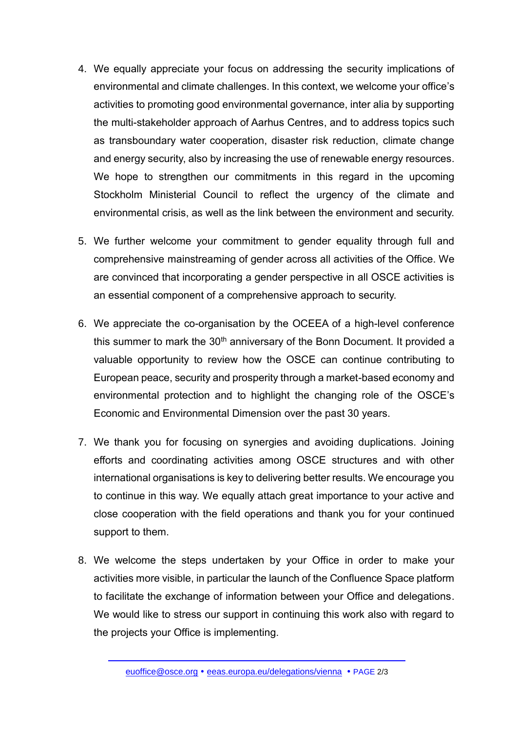- 4. We equally appreciate your focus on addressing the security implications of environmental and climate challenges. In this context, we welcome your office's activities to promoting good environmental governance, inter alia by supporting the multi-stakeholder approach of Aarhus Centres, and to address topics such as transboundary water cooperation, disaster risk reduction, climate change and energy security, also by increasing the use of renewable energy resources. We hope to strengthen our commitments in this regard in the upcoming Stockholm Ministerial Council to reflect the urgency of the climate and environmental crisis, as well as the link between the environment and security.
- 5. We further welcome your commitment to gender equality through full and comprehensive mainstreaming of gender across all activities of the Office. We are convinced that incorporating a gender perspective in all OSCE activities is an essential component of a comprehensive approach to security.
- 6. We appreciate the co-organisation by the OCEEA of a high-level conference this summer to mark the 30<sup>th</sup> anniversary of the Bonn Document. It provided a valuable opportunity to review how the OSCE can continue contributing to European peace, security and prosperity through a market-based economy and environmental protection and to highlight the changing role of the OSCE's Economic and Environmental Dimension over the past 30 years.
- 7. We thank you for focusing on synergies and avoiding duplications. Joining efforts and coordinating activities among OSCE structures and with other international organisations is key to delivering better results. We encourage you to continue in this way. We equally attach great importance to your active and close cooperation with the field operations and thank you for your continued support to them.
- 8. We welcome the steps undertaken by your Office in order to make your activities more visible, in particular the launch of the Confluence Space platform to facilitate the exchange of information between your Office and delegations. We would like to stress our support in continuing this work also with regard to the projects your Office is implementing.

[euoffice@osce.org](mailto:euoffice@osce.org) • [eeas.europa.eu/delegations/vienna](http://eeas.europa.eu/delegations/vienna) • PAGE 2/3